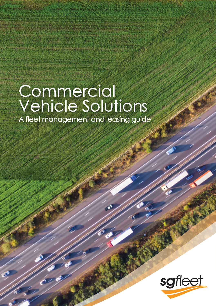# Commercial Vehicle Solutions

A fleet management and leasing guide

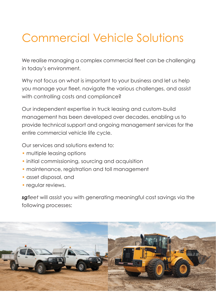## Commercial Vehicle Solutions

We realise managing a complex commercial fleet can be challenging in today's environment.

Why not focus on what is important to your business and let us help you manage your fleet, navigate the various challenges, and assist with controlling costs and compliance?

Our independent expertise in truck leasing and custom-build management has been developed over decades, enabling us to provide technical support and ongoing management services for the entire commercial vehicle life cycle.

Our services and solutions extend to:

- multiple leasing options
- initial commissioning, sourcing and acquisition
- maintenance, registration and toll management
- asset disposal, and
- regular reviews.

*sgfleet* will assist you with generating meaningful cost savings via the following processes:

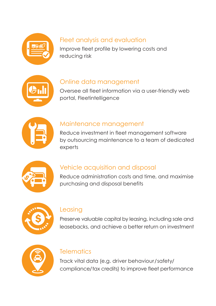

#### Fleet analysis and evaluation

Improve fleet profile by lowering costs and reducing risk



#### Online data management

Oversee all fleet information via a user-friendly web portal, Fleetintelligence



#### Maintenance management

Reduce investment in fleet management software by outsourcing maintenance to a team of dedicated experts



#### Vehicle acquisition and disposal

Reduce administration costs and time, and maximise purchasing and disposal benefits



#### Leasing

Preserve valuable capital by leasing, including sale and leasebacks, and achieve a better return on investment



#### **Telematics**

Track vital data (e.g. driver behaviour/safety/ compliance/tax credits) to improve fleet performance